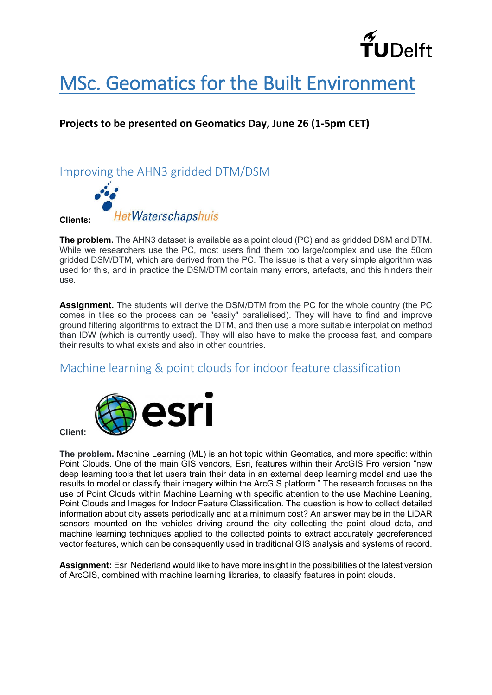

# [MSc. Geomatics for the Built Environment](http://www.geomatics.tudelft.nl/)

#### **Projects to be presented on Geomatics Day, June 26 (1-5pm CET)**

#### Improving the AHN3 gridded DTM/DSM



**The problem.** The AHN3 dataset is available as a point cloud (PC) and as gridded DSM and DTM. While we researchers use the PC, most users find them too large/complex and use the 50cm gridded DSM/DTM, which are derived from the PC. The issue is that a very simple algorithm was used for this, and in practice the DSM/DTM contain many errors, artefacts, and this hinders their use.

**Assignment.** The students will derive the DSM/DTM from the PC for the whole country (the PC comes in tiles so the process can be "easily" parallelised). They will have to find and improve ground filtering algorithms to extract the DTM, and then use a more suitable interpolation method than IDW (which is currently used). They will also have to make the process fast, and compare their results to what exists and also in other countries.

#### Machine learning & point clouds for indoor feature classification



**Client:** 

**The problem.** Machine Learning (ML) is an hot topic within Geomatics, and more specific: within Point Clouds. One of the main GIS vendors, Esri, features within their ArcGIS Pro version "new deep learning tools that let users train their data in an external deep learning model and use the results to model or classify their imagery within the ArcGIS platform." The research focuses on the use of Point Clouds within Machine Learning with specific attention to the use Machine Leaning, Point Clouds and Images for Indoor Feature Classification. The question is how to collect detailed information about city assets periodically and at a minimum cost? An answer may be in the LiDAR sensors mounted on the vehicles driving around the city collecting the point cloud data, and machine learning techniques applied to the collected points to extract accurately georeferenced vector features, which can be consequently used in traditional GIS analysis and systems of record.

**Assignment:** Esri Nederland would like to have more insight in the possibilities of the latest version of ArcGIS, combined with machine learning libraries, to classify features in point clouds.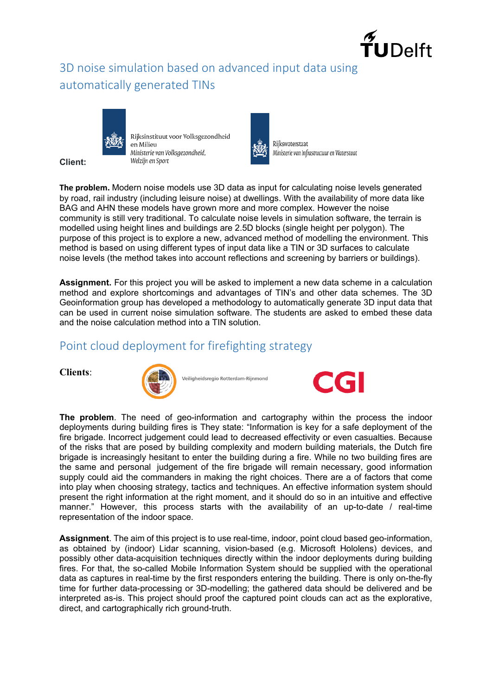

### 3D noise simulation based on advanced input data using automatically generated TINs



**Client:** 

Rijksinstituut voor Volksgezondheid en Milieu Ministerie van Volksgezondheid, Welzijn en Sport



Rijkswaterstaat Ministerie van Infrastructuur en Waterstaat

**The problem.** Modern noise models use 3D data as input for calculating noise levels generated by road, rail industry (including leisure noise) at dwellings. With the availability of more data like BAG and AHN these models have grown more and more complex. However the noise community is still very traditional. To calculate noise levels in simulation software, the terrain is modelled using height lines and buildings are 2.5D blocks (single height per polygon). The purpose of this project is to explore a new, advanced method of modelling the environment. This method is based on using different types of input data like a TIN or 3D surfaces to calculate noise levels (the method takes into account reflections and screening by barriers or buildings).

**Assignment.** For this project you will be asked to implement a new data scheme in a calculation method and explore shortcomings and advantages of TIN's and other data schemes. The 3D Geoinformation group has developed a methodology to automatically generate 3D input data that can be used in current noise simulation software. The students are asked to embed these data and the noise calculation method into a TIN solution.

#### Point cloud deployment for firefighting strategy





Veiligheidsregio Rotterdam-Riinmond



**The problem**. The need of geo-information and cartography within the process the indoor deployments during building fires is They state: "Information is key for a safe deployment of the fire brigade. Incorrect judgement could lead to decreased effectivity or even casualties. Because of the risks that are posed by building complexity and modern building materials, the Dutch fire brigade is increasingly hesitant to enter the building during a fire. While no two building fires are the same and personal judgement of the fire brigade will remain necessary, good information supply could aid the commanders in making the right choices. There are a of factors that come into play when choosing strategy, tactics and techniques. An effective information system should present the right information at the right moment, and it should do so in an intuitive and effective manner." However, this process starts with the availability of an up-to-date / real-time representation of the indoor space.

**Assignment**. The aim of this project is to use real-time, indoor, point cloud based geo-information, as obtained by (indoor) Lidar scanning, vision-based (e.g. Microsoft Hololens) devices, and possibly other data-acquisition techniques directly within the indoor deployments during building fires. For that, the so-called Mobile Information System should be supplied with the operational data as captures in real-time by the first responders entering the building. There is only on-the-fly time for further data-processing or 3D-modelling; the gathered data should be delivered and be interpreted as-is. This project should proof the captured point clouds can act as the explorative, direct, and cartographically rich ground-truth.